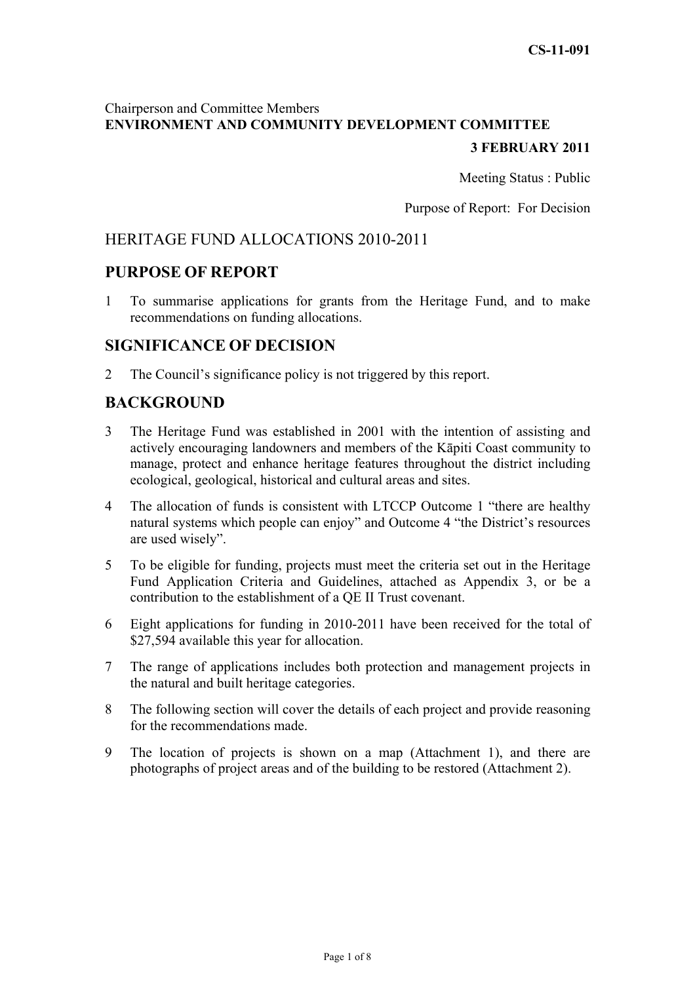# Chairperson and Committee Members **ENVIRONMENT AND COMMUNITY DEVELOPMENT COMMITTEE**

# **3 FEBRUARY 2011**

Meeting Status : Public

Purpose of Report: For Decision

# HERITAGE FUND ALLOCATIONS 2010-2011

## **PURPOSE OF REPORT**

1 To summarise applications for grants from the Heritage Fund, and to make recommendations on funding allocations.

## **SIGNIFICANCE OF DECISION**

2 The Council's significance policy is not triggered by this report.

# **BACKGROUND**

- 3 The Heritage Fund was established in 2001 with the intention of assisting and actively encouraging landowners and members of the Kāpiti Coast community to manage, protect and enhance heritage features throughout the district including ecological, geological, historical and cultural areas and sites.
- 4 The allocation of funds is consistent with LTCCP Outcome 1 "there are healthy natural systems which people can enjoy" and Outcome 4 "the District's resources are used wisely".
- 5 To be eligible for funding, projects must meet the criteria set out in the Heritage Fund Application Criteria and Guidelines, attached as Appendix 3, or be a contribution to the establishment of a QE II Trust covenant.
- 6 Eight applications for funding in 2010-2011 have been received for the total of \$27,594 available this year for allocation.
- 7 The range of applications includes both protection and management projects in the natural and built heritage categories.
- 8 The following section will cover the details of each project and provide reasoning for the recommendations made.
- 9 The location of projects is shown on a map (Attachment 1), and there are photographs of project areas and of the building to be restored (Attachment 2).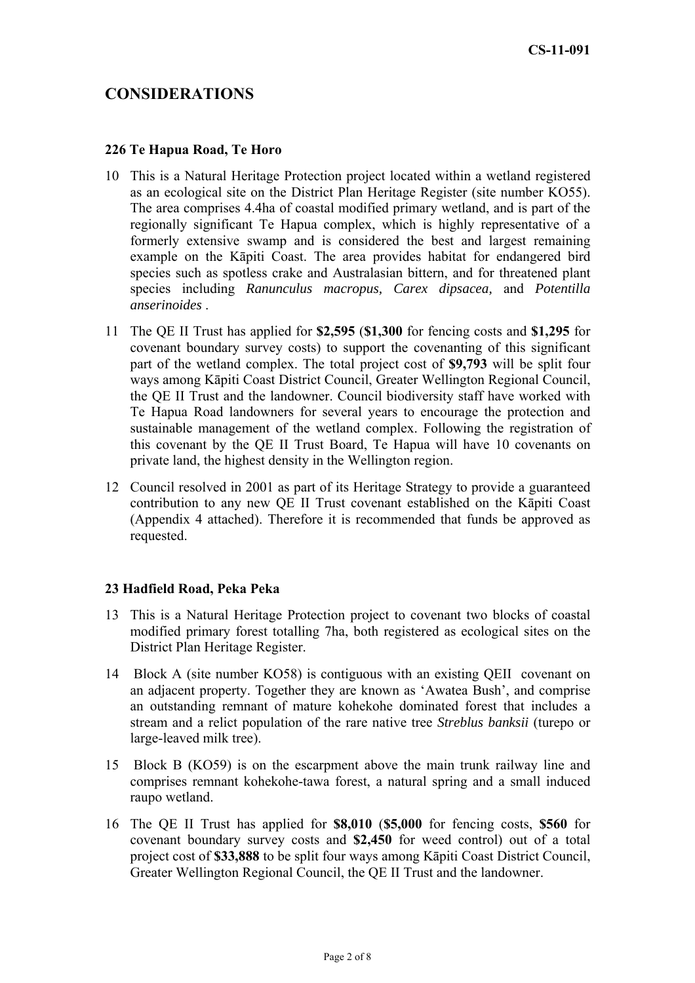# **CONSIDERATIONS**

#### **226 Te Hapua Road, Te Horo**

- 10 This is a Natural Heritage Protection project located within a wetland registered as an ecological site on the District Plan Heritage Register (site number KO55). The area comprises 4.4ha of coastal modified primary wetland, and is part of the regionally significant Te Hapua complex, which is highly representative of a formerly extensive swamp and is considered the best and largest remaining example on the Kāpiti Coast. The area provides habitat for endangered bird species such as spotless crake and Australasian bittern, and for threatened plant species including *Ranunculus macropus, Carex dipsacea,* and *Potentilla anserinoides* .
- 11 The QE II Trust has applied for **\$2,595** (**\$1,300** for fencing costs and **\$1,295** for covenant boundary survey costs) to support the covenanting of this significant part of the wetland complex. The total project cost of **\$9,793** will be split four ways among Kāpiti Coast District Council, Greater Wellington Regional Council, the QE II Trust and the landowner. Council biodiversity staff have worked with Te Hapua Road landowners for several years to encourage the protection and sustainable management of the wetland complex. Following the registration of this covenant by the QE II Trust Board, Te Hapua will have 10 covenants on private land, the highest density in the Wellington region.
- 12 Council resolved in 2001 as part of its Heritage Strategy to provide a guaranteed contribution to any new QE II Trust covenant established on the Kāpiti Coast (Appendix 4 attached). Therefore it is recommended that funds be approved as requested.

#### **23 Hadfield Road, Peka Peka**

- 13 This is a Natural Heritage Protection project to covenant two blocks of coastal modified primary forest totalling 7ha, both registered as ecological sites on the District Plan Heritage Register.
- 14 Block A (site number KO58) is contiguous with an existing QEII covenant on an adjacent property. Together they are known as 'Awatea Bush', and comprise an outstanding remnant of mature kohekohe dominated forest that includes a stream and a relict population of the rare native tree *Streblus banksii* (turepo or large-leaved milk tree).
- 15 Block B (KO59) is on the escarpment above the main trunk railway line and comprises remnant kohekohe-tawa forest, a natural spring and a small induced raupo wetland.
- 16 The QE II Trust has applied for **\$8,010** (**\$5,000** for fencing costs, **\$560** for covenant boundary survey costs and **\$2,450** for weed control) out of a total project cost of **\$33,888** to be split four ways among Kāpiti Coast District Council, Greater Wellington Regional Council, the QE II Trust and the landowner.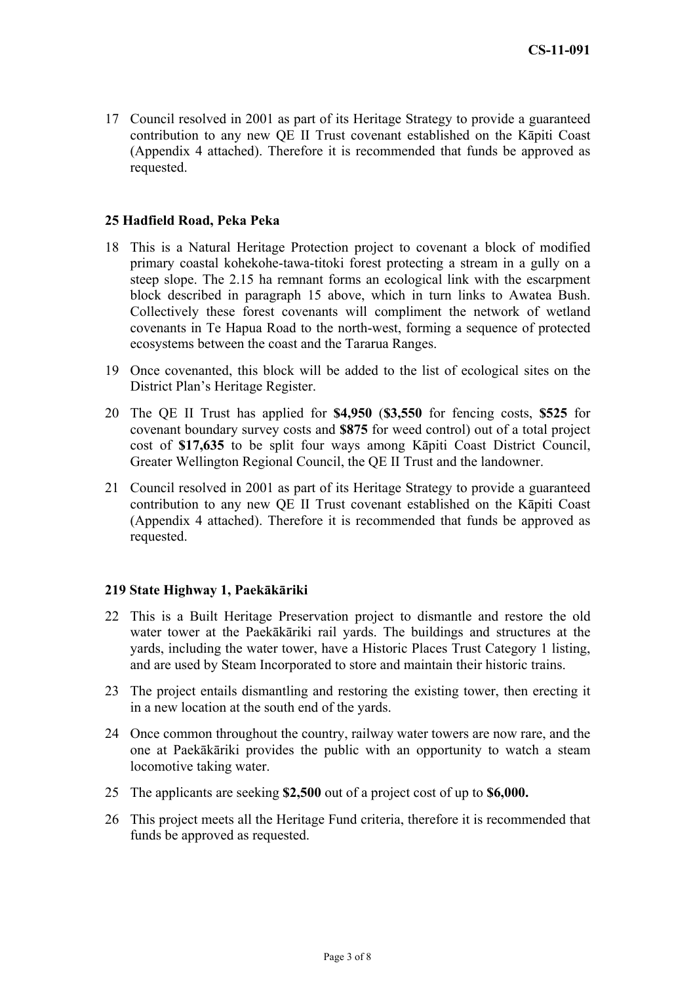17 Council resolved in 2001 as part of its Heritage Strategy to provide a guaranteed contribution to any new QE II Trust covenant established on the Kāpiti Coast (Appendix 4 attached). Therefore it is recommended that funds be approved as requested.

#### **25 Hadfield Road, Peka Peka**

- 18 This is a Natural Heritage Protection project to covenant a block of modified primary coastal kohekohe-tawa-titoki forest protecting a stream in a gully on a steep slope. The 2.15 ha remnant forms an ecological link with the escarpment block described in paragraph 15 above, which in turn links to Awatea Bush. Collectively these forest covenants will compliment the network of wetland covenants in Te Hapua Road to the north-west, forming a sequence of protected ecosystems between the coast and the Tararua Ranges.
- 19 Once covenanted, this block will be added to the list of ecological sites on the District Plan's Heritage Register.
- 20 The QE II Trust has applied for **\$4,950** (**\$3,550** for fencing costs, **\$525** for covenant boundary survey costs and **\$875** for weed control) out of a total project cost of **\$17,635** to be split four ways among Kāpiti Coast District Council, Greater Wellington Regional Council, the QE II Trust and the landowner.
- 21 Council resolved in 2001 as part of its Heritage Strategy to provide a guaranteed contribution to any new QE II Trust covenant established on the Kāpiti Coast (Appendix 4 attached). Therefore it is recommended that funds be approved as requested.

#### **219 State Highway 1, Paekākāriki**

- 22 This is a Built Heritage Preservation project to dismantle and restore the old water tower at the Paekākāriki rail yards. The buildings and structures at the yards, including the water tower, have a Historic Places Trust Category 1 listing, and are used by Steam Incorporated to store and maintain their historic trains.
- 23 The project entails dismantling and restoring the existing tower, then erecting it in a new location at the south end of the yards.
- 24 Once common throughout the country, railway water towers are now rare, and the one at Paekākāriki provides the public with an opportunity to watch a steam locomotive taking water.
- 25 The applicants are seeking **\$2,500** out of a project cost of up to **\$6,000.**
- 26 This project meets all the Heritage Fund criteria, therefore it is recommended that funds be approved as requested.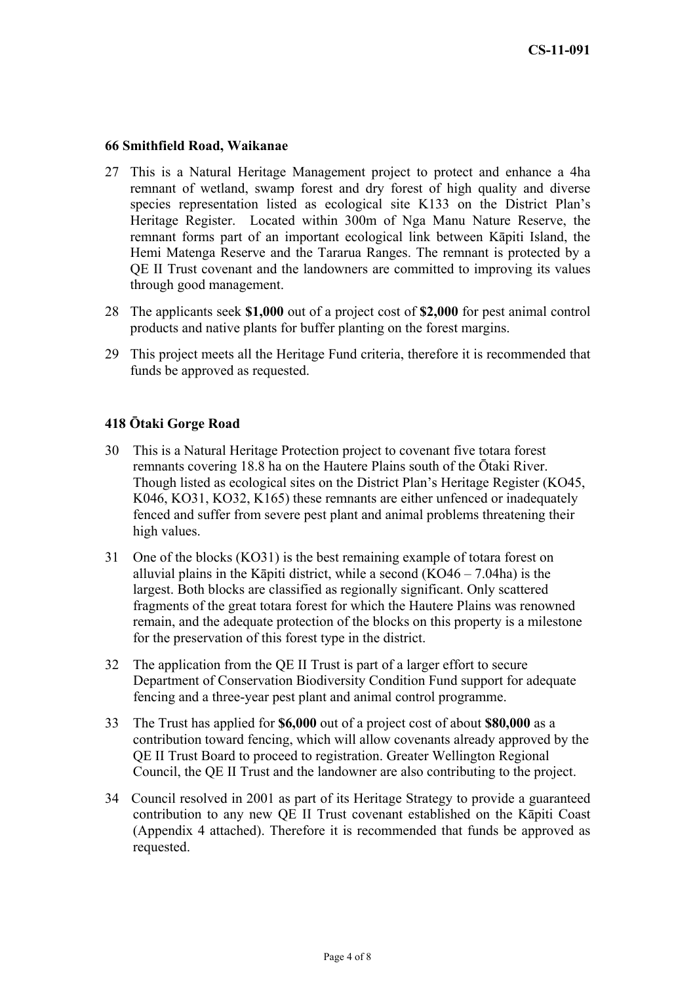#### **66 Smithfield Road, Waikanae**

- 27 This is a Natural Heritage Management project to protect and enhance a 4ha remnant of wetland, swamp forest and dry forest of high quality and diverse species representation listed as ecological site K133 on the District Plan's Heritage Register. Located within 300m of Nga Manu Nature Reserve, the remnant forms part of an important ecological link between Kāpiti Island, the Hemi Matenga Reserve and the Tararua Ranges. The remnant is protected by a QE II Trust covenant and the landowners are committed to improving its values through good management.
- 28 The applicants seek **\$1,000** out of a project cost of **\$2,000** for pest animal control products and native plants for buffer planting on the forest margins.
- 29 This project meets all the Heritage Fund criteria, therefore it is recommended that funds be approved as requested.

#### **418 Ōtaki Gorge Road**

- 30 This is a Natural Heritage Protection project to covenant five totara forest remnants covering 18.8 ha on the Hautere Plains south of the Ōtaki River. Though listed as ecological sites on the District Plan's Heritage Register (KO45, K046, KO31, KO32, K165) these remnants are either unfenced or inadequately fenced and suffer from severe pest plant and animal problems threatening their high values.
- 31 One of the blocks (KO31) is the best remaining example of totara forest on alluvial plains in the Kāpiti district, while a second  $(KO46 - 7.04ha)$  is the largest. Both blocks are classified as regionally significant. Only scattered fragments of the great totara forest for which the Hautere Plains was renowned remain, and the adequate protection of the blocks on this property is a milestone for the preservation of this forest type in the district.
- 32 The application from the QE II Trust is part of a larger effort to secure Department of Conservation Biodiversity Condition Fund support for adequate fencing and a three-year pest plant and animal control programme.
- 33 The Trust has applied for **\$6,000** out of a project cost of about **\$80,000** as a contribution toward fencing, which will allow covenants already approved by the QE II Trust Board to proceed to registration. Greater Wellington Regional Council, the QE II Trust and the landowner are also contributing to the project.
- 34 Council resolved in 2001 as part of its Heritage Strategy to provide a guaranteed contribution to any new QE II Trust covenant established on the Kāpiti Coast (Appendix 4 attached). Therefore it is recommended that funds be approved as requested.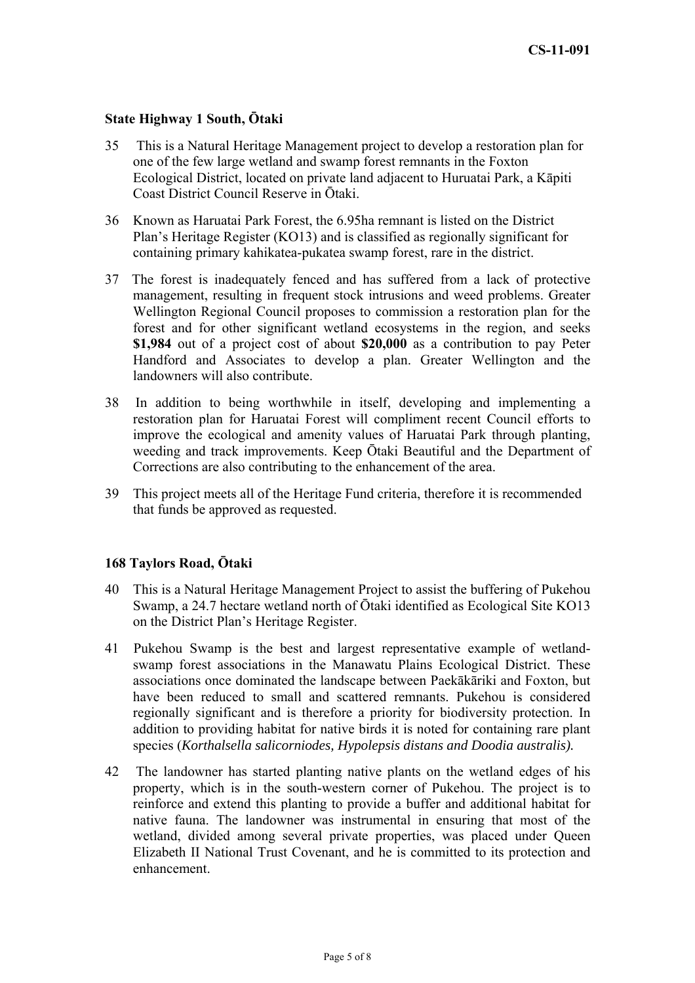#### **State Highway 1 South, Ōtaki**

- 35 This is a Natural Heritage Management project to develop a restoration plan for one of the few large wetland and swamp forest remnants in the Foxton Ecological District, located on private land adjacent to Huruatai Park, a Kāpiti Coast District Council Reserve in Ōtaki.
- 36 Known as Haruatai Park Forest, the 6.95ha remnant is listed on the District Plan's Heritage Register (KO13) and is classified as regionally significant for containing primary kahikatea-pukatea swamp forest, rare in the district.
- 37 The forest is inadequately fenced and has suffered from a lack of protective management, resulting in frequent stock intrusions and weed problems. Greater Wellington Regional Council proposes to commission a restoration plan for the forest and for other significant wetland ecosystems in the region, and seeks **\$1,984** out of a project cost of about **\$20,000** as a contribution to pay Peter Handford and Associates to develop a plan. Greater Wellington and the landowners will also contribute.
- 38 In addition to being worthwhile in itself, developing and implementing a restoration plan for Haruatai Forest will compliment recent Council efforts to improve the ecological and amenity values of Haruatai Park through planting, weeding and track improvements. Keep Ōtaki Beautiful and the Department of Corrections are also contributing to the enhancement of the area.
- 39 This project meets all of the Heritage Fund criteria, therefore it is recommended that funds be approved as requested.

#### **168 Taylors Road, Ōtaki**

- 40 This is a Natural Heritage Management Project to assist the buffering of Pukehou Swamp, a 24.7 hectare wetland north of Ōtaki identified as Ecological Site KO13 on the District Plan's Heritage Register.
- 41 Pukehou Swamp is the best and largest representative example of wetlandswamp forest associations in the Manawatu Plains Ecological District. These associations once dominated the landscape between Paekākāriki and Foxton, but have been reduced to small and scattered remnants. Pukehou is considered regionally significant and is therefore a priority for biodiversity protection. In addition to providing habitat for native birds it is noted for containing rare plant species (*Korthalsella salicorniodes, Hypolepsis distans and Doodia australis).*
- 42 The landowner has started planting native plants on the wetland edges of his property, which is in the south-western corner of Pukehou. The project is to reinforce and extend this planting to provide a buffer and additional habitat for native fauna. The landowner was instrumental in ensuring that most of the wetland, divided among several private properties, was placed under Queen Elizabeth II National Trust Covenant, and he is committed to its protection and enhancement.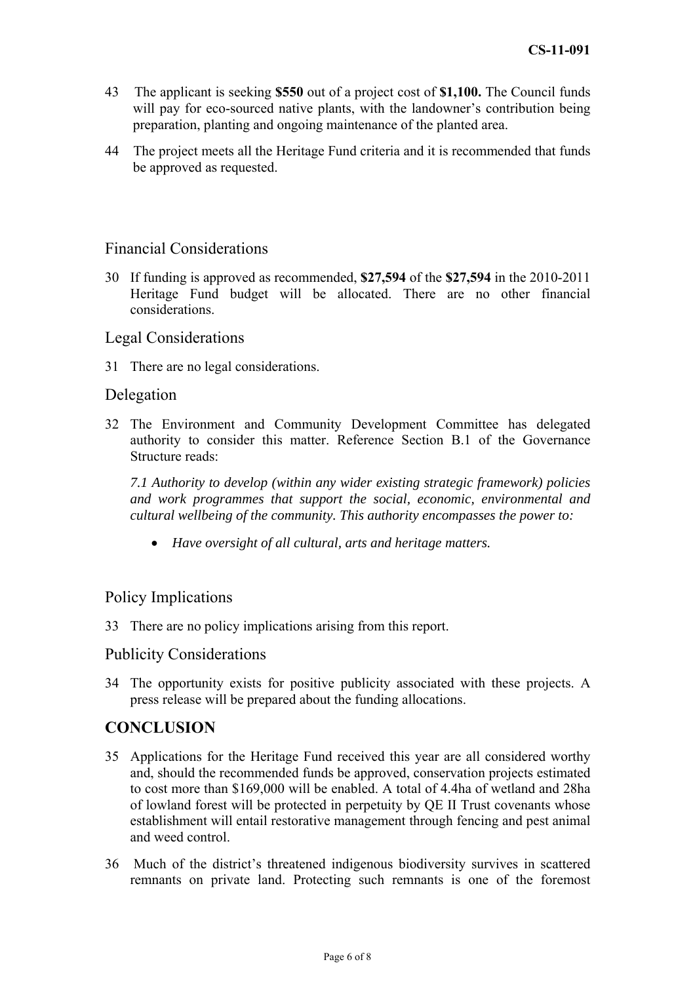- 43 The applicant is seeking **\$550** out of a project cost of **\$1,100.** The Council funds will pay for eco-sourced native plants, with the landowner's contribution being preparation, planting and ongoing maintenance of the planted area.
- 44 The project meets all the Heritage Fund criteria and it is recommended that funds be approved as requested.

#### Financial Considerations

30 If funding is approved as recommended, **\$27,594** of the **\$27,594** in the 2010-2011 Heritage Fund budget will be allocated. There are no other financial considerations.

#### Legal Considerations

31 There are no legal considerations.

#### Delegation

32 The Environment and Community Development Committee has delegated authority to consider this matter. Reference Section B.1 of the Governance Structure reads:

*7.1 Authority to develop (within any wider existing strategic framework) policies and work programmes that support the social, economic, environmental and cultural wellbeing of the community. This authority encompasses the power to:* 

• *Have oversight of all cultural, arts and heritage matters.* 

### Policy Implications

33 There are no policy implications arising from this report.

### Publicity Considerations

34 The opportunity exists for positive publicity associated with these projects. A press release will be prepared about the funding allocations.

# **CONCLUSION**

- 35 Applications for the Heritage Fund received this year are all considered worthy and, should the recommended funds be approved, conservation projects estimated to cost more than \$169,000 will be enabled. A total of 4.4ha of wetland and 28ha of lowland forest will be protected in perpetuity by QE II Trust covenants whose establishment will entail restorative management through fencing and pest animal and weed control.
- 36 Much of the district's threatened indigenous biodiversity survives in scattered remnants on private land. Protecting such remnants is one of the foremost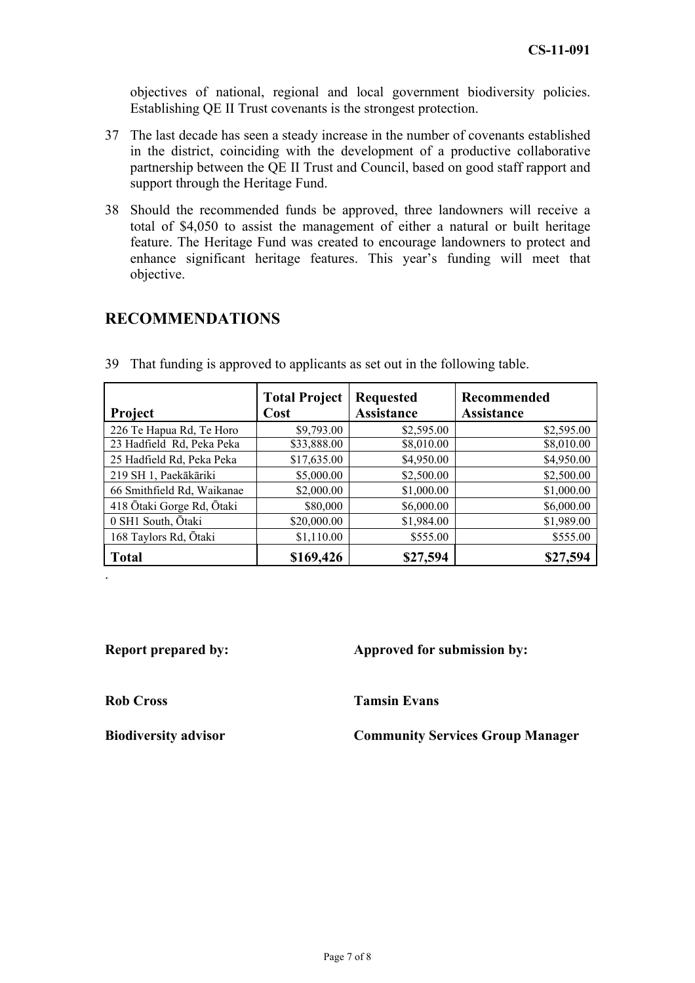objectives of national, regional and local government biodiversity policies. Establishing QE II Trust covenants is the strongest protection.

- 37 The last decade has seen a steady increase in the number of covenants established in the district, coinciding with the development of a productive collaborative partnership between the QE II Trust and Council, based on good staff rapport and support through the Heritage Fund.
- 38 Should the recommended funds be approved, three landowners will receive a total of \$4,050 to assist the management of either a natural or built heritage feature. The Heritage Fund was created to encourage landowners to protect and enhance significant heritage features. This year's funding will meet that objective.

# **RECOMMENDATIONS**

| Project                    | <b>Total Project</b><br>Cost | <b>Requested</b><br><b>Assistance</b> | <b>Recommended</b><br><b>Assistance</b> |
|----------------------------|------------------------------|---------------------------------------|-----------------------------------------|
| 226 Te Hapua Rd, Te Horo   | \$9,793.00                   | \$2,595.00                            | \$2,595.00                              |
| 23 Hadfield Rd, Peka Peka  | \$33,888.00                  | \$8,010.00                            | \$8,010.00                              |
| 25 Hadfield Rd, Peka Peka  | \$17,635.00                  | \$4,950.00                            | \$4,950.00                              |
| 219 SH 1, Paekākāriki      | \$5,000.00                   | \$2,500.00                            | \$2,500.00                              |
| 66 Smithfield Rd, Waikanae | \$2,000.00                   | \$1,000.00                            | \$1,000.00                              |
| 418 Ōtaki Gorge Rd, Ōtaki  | \$80,000                     | \$6,000.00                            | \$6,000.00                              |
| 0 SH1 South, Ōtaki         | \$20,000.00                  | \$1,984.00                            | \$1,989.00                              |
| 168 Taylors Rd, Ōtaki      | \$1,110.00                   | \$555.00                              | \$555.00                                |
| <b>Total</b>               | \$169,426                    | \$27,594                              | \$27,594                                |

39 That funding is approved to applicants as set out in the following table.

# **Report prepared by:** Approved for submission by:

**Rob Cross Tamsin Evans** 

.

**Biodiversity advisor Community Services Group Manager**